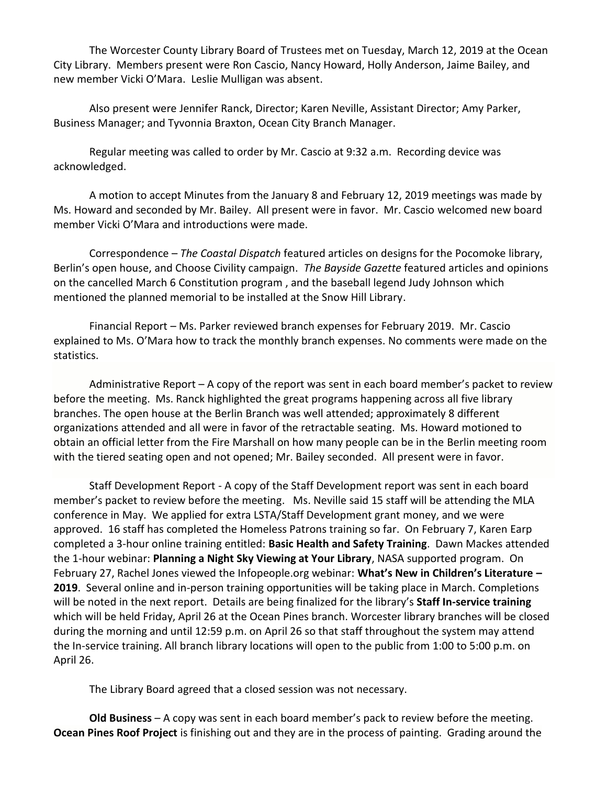The Worcester County Library Board of Trustees met on Tuesday, March 12, 2019 at the Ocean City Library. Members present were Ron Cascio, Nancy Howard, Holly Anderson, Jaime Bailey, and new member Vicki O'Mara. Leslie Mulligan was absent.

Also present were Jennifer Ranck, Director; Karen Neville, Assistant Director; Amy Parker, Business Manager; and Tyvonnia Braxton, Ocean City Branch Manager.

Regular meeting was called to order by Mr. Cascio at 9:32 a.m. Recording device was acknowledged.

A motion to accept Minutes from the January 8 and February 12, 2019 meetings was made by Ms. Howard and seconded by Mr. Bailey. All present were in favor. Mr. Cascio welcomed new board member Vicki O'Mara and introductions were made.

Correspondence – *The Coastal Dispatch* featured articles on designs for the Pocomoke library, Berlin's open house, and Choose Civility campaign. *The Bayside Gazette* featured articles and opinions on the cancelled March 6 Constitution program , and the baseball legend Judy Johnson which mentioned the planned memorial to be installed at the Snow Hill Library.

Financial Report – Ms. Parker reviewed branch expenses for February 2019. Mr. Cascio explained to Ms. O'Mara how to track the monthly branch expenses. No comments were made on the statistics.

Administrative Report – A copy of the report was sent in each board member's packet to review before the meeting. Ms. Ranck highlighted the great programs happening across all five library branches. The open house at the Berlin Branch was well attended; approximately 8 different organizations attended and all were in favor of the retractable seating. Ms. Howard motioned to obtain an official letter from the Fire Marshall on how many people can be in the Berlin meeting room with the tiered seating open and not opened; Mr. Bailey seconded. All present were in favor.

Staff Development Report - A copy of the Staff Development report was sent in each board member's packet to review before the meeting. Ms. Neville said 15 staff will be attending the MLA conference in May. We applied for extra LSTA/Staff Development grant money, and we were approved. 16 staff has completed the Homeless Patrons training so far. On February 7, Karen Earp completed a 3-hour online training entitled: **Basic Health and Safety Training**. Dawn Mackes attended the 1-hour webinar: **Planning a Night Sky Viewing at Your Library**, NASA supported program. On February 27, Rachel Jones viewed the Infopeople.org webinar: **What's New in Children's Literature – 2019**. Several online and in-person training opportunities will be taking place in March. Completions will be noted in the next report. Details are being finalized for the library's **Staff In-service training** which will be held Friday, April 26 at the Ocean Pines branch. Worcester library branches will be closed during the morning and until 12:59 p.m. on April 26 so that staff throughout the system may attend the In-service training. All branch library locations will open to the public from 1:00 to 5:00 p.m. on April 26.

The Library Board agreed that a closed session was not necessary.

**Old Business** – A copy was sent in each board member's pack to review before the meeting. **Ocean Pines Roof Project** is finishing out and they are in the process of painting. Grading around the